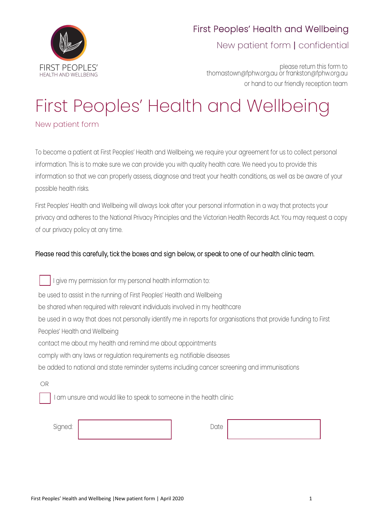

New patient form | confidential

please return this form to thomastown@fphw.org.au or frankston@fphw.org.au or hand to our friendly reception team

# First Peoples' Health and Wellbeing

New patient form

To become a patient at First Peoples' Health and Wellbeing, we require your agreement for us to collect personal information. This is to make sure we can provide you with quality health care. We need you to provide this information so that we can properly assess, diagnose and treat your health conditions, as well as be aware of your possible health risks.

First Peoples' Health and Wellbeing will always look after your personal information in a way that protects your privacy and adheres to the National Privacy Principles and the Victorian Health Records Act. You may request a copy of our privacy policy at any time.

## Please read this carefully, tick the boxes and sign below, or speak to one of our health clinic team.

OR I give my permission for my personal health information to: be used to assist in the running of First Peoples' Health and Wellbeing be shared when required with relevant individuals involved in my healthcare be used in a way that does not personally identify me in reports for organisations that provide funding to First Peoples' Health and Wellbeing contact me about my health and remind me about appointments comply with any laws or regulation requirements e.g. notifiable diseases be added to national and state reminder systems including cancer screening and immunisations

I am unsure and would like to speak to someone in the health clinic

Signed: Date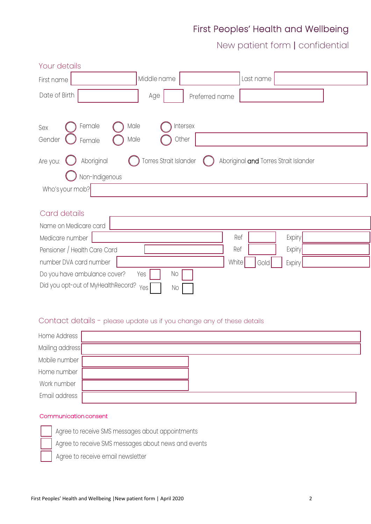New patient form | confidential

| Your details                                                |                                                                 |
|-------------------------------------------------------------|-----------------------------------------------------------------|
| First name                                                  | Middle name<br>Last name                                        |
| Date of Birth                                               | Age<br>Preferred name                                           |
| Female<br>Male<br>Sex<br>Gender<br>Male<br>Female           | Intersex<br>Other                                               |
| Aboriginal<br>Are you:<br>Non-Indigenous<br>Who's your mob? | Torres Strait Islander<br>Aboriginal and Torres Strait Islander |
| Card details                                                |                                                                 |
| Name on Medicare card                                       |                                                                 |
| Medicare number                                             | Ref<br>Expiry                                                   |
| Pensioner / Health Care Card                                | Ref<br>Expiry                                                   |
| number DVA card number                                      | White<br>Gold<br>Expiry                                         |
| Do you have ambulance cover?                                | No<br>Yes                                                       |
| Did you opt-out of MyHealthRecord?                          | Yes!<br>No                                                      |

#### Contact details - please update us if you change any of these details

| Home Address    |  |
|-----------------|--|
| Mailing address |  |
| Mobile number   |  |
| Home number     |  |
| Work number     |  |
| Email address   |  |

#### Communication consent

Agree to receive SMS messages about appointments

Agree to receive SMS messages about news and events

Agree to receive email newsletter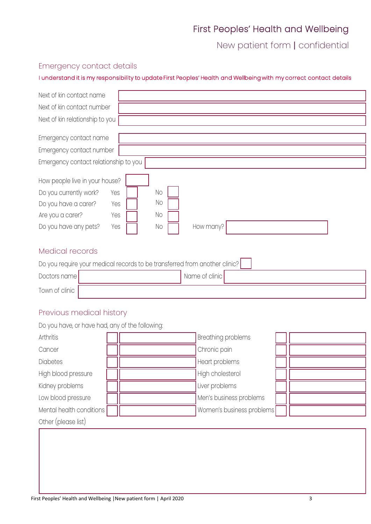New patient form | confidential

## Emergency contact details

#### I understand it is my responsibility to update First Peoples' Health and Wellbeing with my correct contact details

| Next of kin contact name                                                                                                                                                                                                  |  |  |  |  |
|---------------------------------------------------------------------------------------------------------------------------------------------------------------------------------------------------------------------------|--|--|--|--|
| Next of kin contact number                                                                                                                                                                                                |  |  |  |  |
| Next of kin relationship to you                                                                                                                                                                                           |  |  |  |  |
| Emergency contact name                                                                                                                                                                                                    |  |  |  |  |
| Emergency contact number                                                                                                                                                                                                  |  |  |  |  |
| Emergency contact relationship to you                                                                                                                                                                                     |  |  |  |  |
| How people live in your house?<br><b>No</b><br>Do you currently work?<br>Yes<br><b>No</b><br>Do you have a carer?<br>Yes<br><b>No</b><br>Are you a carer?<br>Yes<br>Do you have any pets?<br>How many?<br>Yes<br>$\rm No$ |  |  |  |  |
| Medical records                                                                                                                                                                                                           |  |  |  |  |
| Do you require your medical records to be transferred from another clinic?                                                                                                                                                |  |  |  |  |
| Name of clinic<br>Doctors name                                                                                                                                                                                            |  |  |  |  |
| Town of clinic                                                                                                                                                                                                            |  |  |  |  |

## Previous medical history

| Do you have, or have had, any of the following: |  |                           |  |
|-------------------------------------------------|--|---------------------------|--|
| Arthritis                                       |  | Breathing problems        |  |
| Cancer                                          |  | Chronic pain              |  |
| <b>Diabetes</b>                                 |  | Heart problems            |  |
| High blood pressure                             |  | High cholesterol          |  |
| Kidney problems                                 |  | Liver problems            |  |
| Low blood pressure                              |  | Men's business problems   |  |
| Mental health conditions                        |  | Women's business problems |  |
| Other (please list)                             |  |                           |  |
|                                                 |  |                           |  |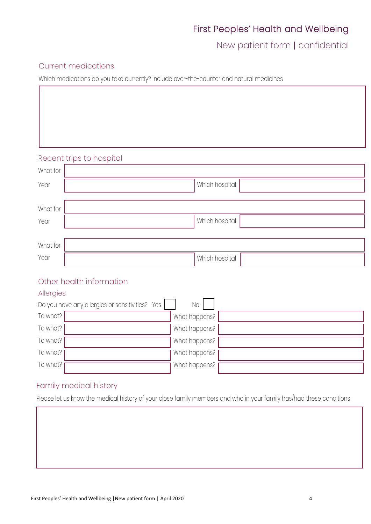New patient form | confidential

#### Current medications

Which medications do you take currently? Include over-the-counter and natural medicines

#### Recent trips to hospital

| What for |                |
|----------|----------------|
| Year     | Which hospital |
|          |                |
| What for |                |
| Year     | Which hospital |
|          |                |
| What for |                |
| Year     | Which hospital |
|          |                |

## Other health information

#### Allergies

|          | Do you have any allergies or sensitivities? Yes | No            |  |
|----------|-------------------------------------------------|---------------|--|
| To what? |                                                 | What happens? |  |
| To what? |                                                 | What happens? |  |
| To what? |                                                 | What happens? |  |
| To what? |                                                 | What happens? |  |
| To what? |                                                 | What happens? |  |

## Family medical history

Please let us know the medical history of your close family members and who in your family has/had these conditions